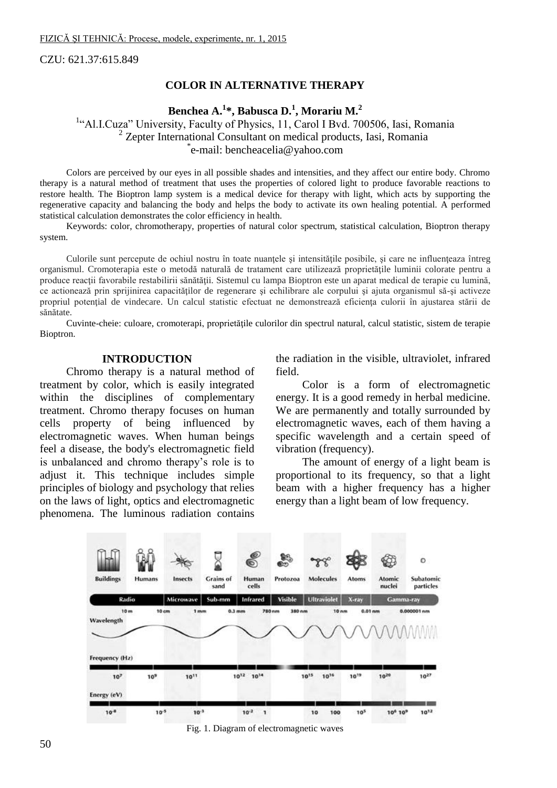CZU: 621.37:615.849

### **COLOR IN ALTERNATIVE THERAPY**

# **Benchea A.<sup>1</sup> \*, Babusca D.<sup>1</sup> , Morariu M.<sup>2</sup>**

<sup>1</sup>"Al.I.Cuza" University, Faculty of Physics, 11, Carol I Bvd. 700506, Iasi, Romania <sup>2</sup> Zepter International Consultant on medical products, Iasi, Romania \* e-mail: [bencheacelia@yahoo.com](mailto:bencheacelia@yahoo.com)

Colors are perceived by our eyes in all possible shades and intensities, and they affect our entire body. Chromo therapy is a natural method of treatment that uses the properties of colored light to produce favorable reactions to restore health. The Bioptron lamp system is a medical device for therapy with light, which acts by supporting the regenerative capacity and balancing the body and helps the body to activate its own healing potential. A performed statistical calculation demonstrates the color efficiency in health.

Keywords: color, chromotherapy, properties of natural color spectrum, statistical calculation, Bioptron therapy system.

Culorile sunt percepute de ochiul nostru în toate nuanțele și intensitățile posibile, și care ne influențeaza întreg organismul. Cromoterapia este o metodă naturală de tratament care utilizează proprietăţile luminii colorate pentru a produce reacții favorabile restabilirii sănătății. Sistemul cu lampa Bioptron este un aparat medical de terapie cu lumină, ce actionează prin sprijinirea capacităţilor de regenerare şi echilibrare ale corpului şi ajuta organismul să-şi activeze propriul potenţial de vindecare. Un calcul statistic efectuat ne demonstrează eficienţa culorii în ajustarea stării de sănătate.

Cuvinte-cheie: culoare, cromoterapi, proprietățile culorilor din spectrul natural, calcul statistic, sistem de terapie Bioptron.

#### **INTRODUCTION**

Chromo therapy is a natural method of treatment by color, which is easily integrated within the disciplines of complementary treatment. Chromo therapy focuses on human cells property of being influenced by electromagnetic waves. When human beings feel a disease, the body's electromagnetic field is unbalanced and chromo therapy's role is to adjust it. This technique includes simple principles of biology and psychology that relies on the laws of light, optics and electromagnetic phenomena. The luminous radiation contains

the radiation in the visible, ultraviolet, infrared field.

Color is a form of electromagnetic energy. It is a good remedy in herbal medicine. We are permanently and totally surrounded by electromagnetic waves, each of them having a specific wavelength and a certain speed of vibration (frequency).

The amount of energy of a light beam is proportional to its frequency, so that a light beam with a higher frequency has a higher energy than a light beam of low frequency.



Fig. 1. Diagram of electromagnetic waves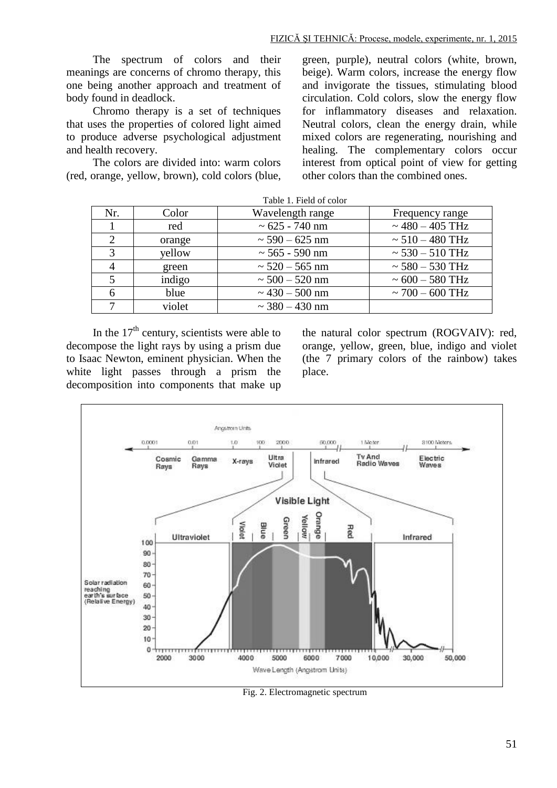The spectrum of colors and their meanings are concerns of chromo therapy, this one being another approach and treatment of body found in deadlock.

Chromo therapy is a set of techniques that uses the properties of colored light aimed to produce adverse psychological adjustment and health recovery.

The colors are divided into: warm colors (red, orange, yellow, brown), cold colors (blue, green, purple), neutral colors (white, brown, beige). Warm colors, increase the energy flow and invigorate the tissues, stimulating blood circulation. Cold colors, slow the energy flow for inflammatory diseases and relaxation. Neutral colors, clean the energy drain, while mixed colors are regenerating, nourishing and healing. The complementary colors occur interest from optical point of view for getting other colors than the combined ones.

| 1 4010 1.1 1014 01 00101 |        |                     |                      |  |  |
|--------------------------|--------|---------------------|----------------------|--|--|
| Nr.                      | Color  | Wavelength range    | Frequency range      |  |  |
|                          | red    | $\sim 625 - 740$ nm | $\sim$ 480 – 405 THz |  |  |
| ◠                        | orange | $\sim$ 590 – 625 nm | $\sim 510 - 480$ THz |  |  |
| $\mathbf{\Omega}$        | yellow | $\sim$ 565 - 590 nm | $\sim 530 - 510$ THz |  |  |
|                          | green  | $\sim$ 520 – 565 nm | $\sim$ 580 – 530 THz |  |  |
|                          | indigo | $\sim 500 - 520$ nm | $\sim 600 - 580$ THz |  |  |
|                          | blue   | $\sim$ 430 – 500 nm | $\sim$ 700 – 600 THz |  |  |
|                          | violet | $\sim$ 380 – 430 nm |                      |  |  |

In the  $17<sup>th</sup>$  century, scientists were able to decompose the light rays by using a prism due to Isaac Newton, eminent physician. When the white light passes through a prism the decomposition into components that make up

the natural color spectrum (ROGVAIV): red, orange, yellow, green, blue, indigo and violet (the 7 primary colors of the rainbow) takes place.



Fig. 2. Electromagnetic spectrum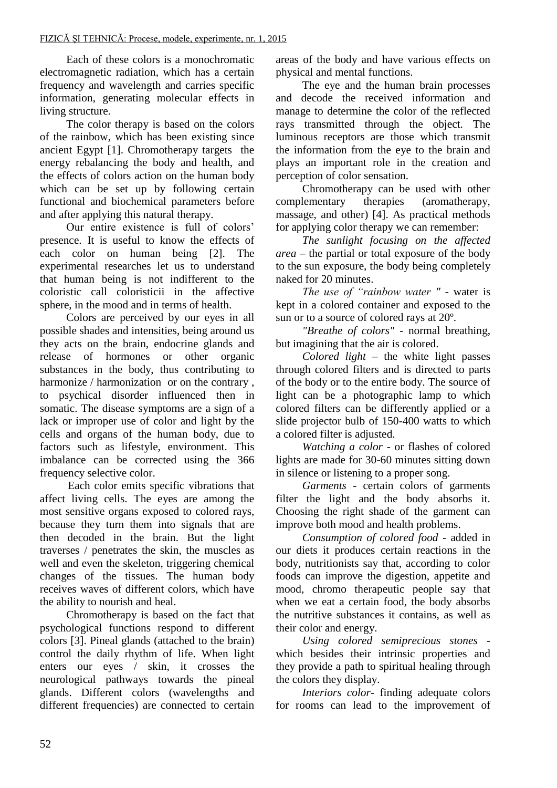Each of these colors is a monochromatic electromagnetic radiation, which has a certain frequency and wavelength and carries specific information, generating molecular effects in living structure.

The color therapy is based on the colors of the rainbow, which has been existing since ancient Egypt [1]. Chromotherapy targets the energy rebalancing the body and health, and the effects of colors action on the human body which can be set up by following certain functional and biochemical parameters before and after applying this natural therapy.

Our entire existence is full of colors' presence. It is useful to know the effects of each color on human being [2]. The experimental researches let us to understand that human being is not indifferent to the coloristic call coloristicii in the affective sphere, in the mood and in terms of health.

Colors are perceived by our eyes in all possible shades and intensities, being around us they acts on the brain, endocrine glands and release of hormones or other organic substances in the body, thus contributing to harmonize / harmonization or on the contrary, to psychical disorder influenced then in somatic. The disease symptoms are a sign of a lack or improper use of color and light by the cells and organs of the human body, due to factors such as lifestyle, environment. This imbalance can be corrected using the 366 frequency selective color.

 Each color emits specific vibrations that affect living cells. The eyes are among the most sensitive organs exposed to colored rays, because they turn them into signals that are then decoded in the brain. But the light traverses / penetrates the skin, the muscles as well and even the skeleton, triggering chemical changes of the tissues. The human body receives waves of different colors, which have the ability to nourish and heal.

Chromotherapy is based on the fact that psychological functions respond to different colors [3]. Pineal glands (attached to the brain) control the daily rhythm of life. When light enters our eyes / skin, it crosses the neurological pathways towards the pineal glands. Different colors (wavelengths and different frequencies) are connected to certain areas of the body and have various effects on physical and mental functions.

The eye and the human brain processes and decode the received information and manage to determine the color of the reflected rays transmitted through the object. The luminous receptors are those which transmit the information from the eye to the brain and plays an important role in the creation and perception of color sensation.

Chromotherapy can be used with other complementary therapies (aromatherapy, massage, and other) [4]. As practical methods for applying color therapy we can remember:

*The sunlight focusing on the affected area* – the partial or total exposure of the body to the sun exposure, the body being completely naked for 20 minutes.

*The use of "rainbow water " -* water is kept in a colored container and exposed to the sun or to a source of colored rays at 20º.

*"Breathe of colors"* - normal breathing, but imagining that the air is colored.

*Colored light* – the white light passes through colored filters and is directed to parts of the body or to the entire body. The source of light can be a photographic lamp to which colored filters can be differently applied or a slide projector bulb of 150-400 watts to which a colored filter is adjusted.

*Watching a color* - or flashes of colored lights are made for 30-60 minutes sitting down in silence or listening to a proper song.

*Garments* - certain colors of garments filter the light and the body absorbs it. Choosing the right shade of the garment can improve both mood and health problems.

*Consumption of colored food* - added in our diets it produces certain reactions in the body, nutritionists say that, according to color foods can improve the digestion, appetite and mood, chromo therapeutic people say that when we eat a certain food, the body absorbs the nutritive substances it contains, as well as their color and energy.

*Using colored semiprecious stones* which besides their intrinsic properties and they provide a path to spiritual healing through the colors they display.

*Interiors color*- finding adequate colors for rooms can lead to the improvement of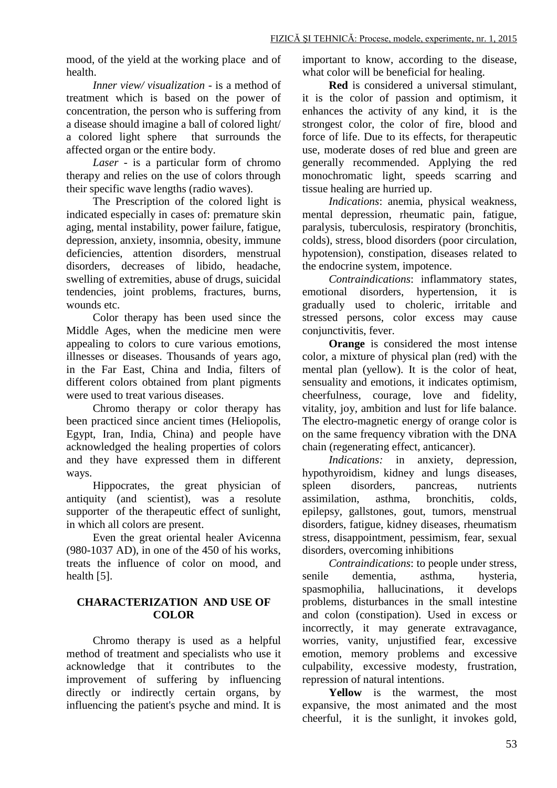mood, of the yield at the working place and of health.

*Inner view/ visualization* - is a method of treatment which is based on the power of concentration, the person who is suffering from a disease should imagine a ball of colored light/ a colored light sphere that surrounds the affected organ or the entire body.

*Laser* - is a particular form of chromo therapy and relies on the use of colors through their specific wave lengths (radio waves).

The Prescription of the colored light is indicated especially in cases of: premature skin aging, mental instability, power failure, fatigue, depression, anxiety, insomnia, obesity, immune deficiencies, attention disorders, menstrual disorders, decreases of libido, headache, swelling of extremities, abuse of drugs, suicidal tendencies, joint problems, fractures, burns, wounds etc.

Color therapy has been used since the Middle Ages, when the medicine men were appealing to colors to cure various emotions, illnesses or diseases. Thousands of years ago, in the Far East, China and India, filters of different colors obtained from plant pigments were used to treat various diseases.

Chromo therapy or color therapy has been practiced since ancient times (Heliopolis, Egypt, Iran, India, China) and people have acknowledged the healing properties of colors and they have expressed them in different ways.

Hippocrates, the great physician of antiquity (and scientist), was a resolute supporter of the therapeutic effect of sunlight, in which all colors are present.

Even the great oriental healer Avicenna (980-1037 AD), in one of the 450 of his works, treats the influence of color on mood, and health [5].

# **CHARACTERIZATION AND USE OF COLOR**

Chromo therapy is used as a helpful method of treatment and specialists who use it acknowledge that it contributes to the improvement of suffering by influencing directly or indirectly certain organs, by influencing the patient's psyche and mind. It is

important to know, according to the disease, what color will be beneficial for healing.

**Red** is considered a universal stimulant, it is the color of passion and optimism, it enhances the activity of any kind, it is the strongest color, the color of fire, blood and force of life. Due to its effects, for therapeutic use, moderate doses of red blue and green are generally recommended. Applying the red monochromatic light, speeds scarring and tissue healing are hurried up.

*Indications*: anemia, physical weakness, mental depression, rheumatic pain, fatigue, paralysis, tuberculosis, respiratory (bronchitis, colds), stress, blood disorders (poor circulation, hypotension), constipation, diseases related to the endocrine system, impotence.

*Contraindications*: inflammatory states, emotional disorders, hypertension, it is gradually used to choleric, irritable and stressed persons, color excess may cause conjunctivitis, fever.

**Orange** is considered the most intense color, a mixture of physical plan (red) with the mental plan (yellow). It is the color of heat, sensuality and emotions, it indicates optimism, cheerfulness, courage, love and fidelity, vitality, joy, ambition and lust for life balance. The electro-magnetic energy of orange color is on the same frequency vibration with the DNA chain (regenerating effect, anticancer).

*Indications:* in anxiety, depression, hypothyroidism, kidney and lungs diseases, spleen disorders, pancreas, nutrients assimilation, asthma, bronchitis, colds, epilepsy, gallstones, gout, tumors, menstrual disorders, fatigue, kidney diseases, rheumatism stress, disappointment, pessimism, fear, sexual disorders, overcoming inhibitions

*Contraindications*: to people under stress, senile dementia, asthma, hysteria, spasmophilia, hallucinations, it develops problems, disturbances in the small intestine and colon (constipation). Used in excess or incorrectly, it may generate extravagance, worries, vanity, unjustified fear, excessive emotion, memory problems and excessive culpability, excessive modesty, frustration, repression of natural intentions.

**Yellow** is the warmest, the most expansive, the most animated and the most cheerful, it is the sunlight, it invokes gold,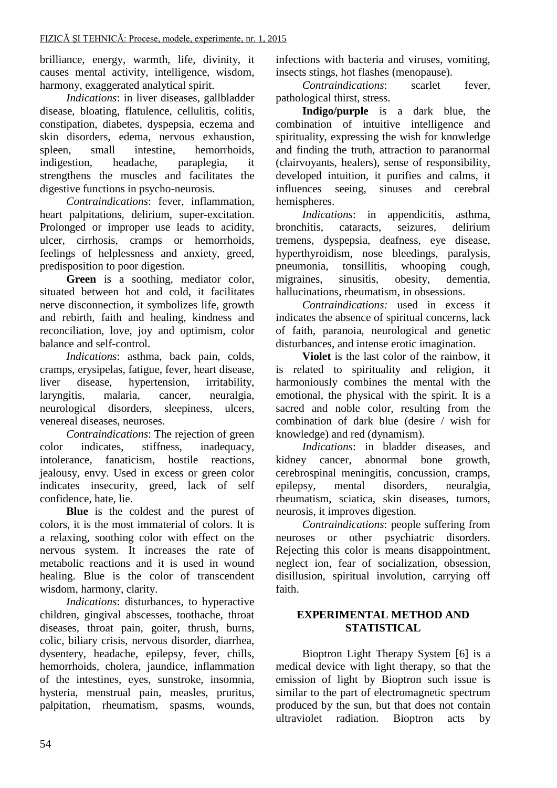brilliance, energy, warmth, life, divinity, it causes mental activity, intelligence, wisdom, harmony, exaggerated analytical spirit.

*Indications*: in liver diseases, gallbladder disease, bloating, flatulence, cellulitis, colitis, constipation, diabetes, dyspepsia, eczema and skin disorders, edema, nervous exhaustion, spleen, small intestine, hemorrhoids, indigestion, headache, paraplegia, it strengthens the muscles and facilitates the digestive functions in psycho-neurosis.

*Contraindications*: fever, inflammation, heart palpitations, delirium, super-excitation. Prolonged or improper use leads to acidity, ulcer, cirrhosis, cramps or hemorrhoids, feelings of helplessness and anxiety, greed, predisposition to poor digestion.

**Green** is a soothing, mediator color, situated between hot and cold, it facilitates nerve disconnection, it symbolizes life, growth and rebirth, faith and healing, kindness and reconciliation, love, joy and optimism, color balance and self-control.

*Indications*: asthma, back pain, colds, cramps, erysipelas, fatigue, fever, heart disease, liver disease, hypertension, irritability, laryngitis, malaria, cancer, neuralgia, neurological disorders, sleepiness, ulcers, venereal diseases, neuroses.

*Contraindications*: The rejection of green color indicates, stiffness, inadequacy, intolerance, fanaticism, hostile reactions, jealousy, envy. Used in excess or green color indicates insecurity, greed, lack of self confidence, hate, lie.

**Blue** is the coldest and the purest of colors, it is the most immaterial of colors. It is a relaxing, soothing color with effect on the nervous system. It increases the rate of metabolic reactions and it is used in wound healing. Blue is the color of transcendent wisdom, harmony, clarity.

*Indications*: disturbances, to hyperactive children, gingival abscesses, toothache, throat diseases, throat pain, goiter, thrush, burns, colic, biliary crisis, nervous disorder, diarrhea, dysentery, headache, epilepsy, fever, chills, hemorrhoids, cholera, jaundice, inflammation of the intestines, eyes, sunstroke, insomnia, hysteria, menstrual pain, measles, pruritus, palpitation, rheumatism, spasms, wounds,

infections with bacteria and viruses, vomiting, insects stings, hot flashes (menopause).

*Contraindications*: scarlet fever, pathological thirst, stress.

**Indigo/purple** is a dark blue, the combination of intuitive intelligence and spirituality, expressing the wish for knowledge and finding the truth, attraction to paranormal (clairvoyants, healers), sense of responsibility, developed intuition, it purifies and calms, it influences seeing, sinuses and cerebral hemispheres.

*Indications*: in appendicitis, asthma, bronchitis, cataracts, seizures, delirium tremens, dyspepsia, deafness, eye disease, hyperthyroidism, nose bleedings, paralysis, pneumonia, tonsillitis, whooping cough, migraines, sinusitis, obesity, dementia, hallucinations, rheumatism, in obsessions.

*Contraindications:* used in excess it indicates the absence of spiritual concerns, lack of faith, paranoia, neurological and genetic disturbances, and intense erotic imagination.

**Violet** is the last color of the rainbow, it is related to spirituality and religion, it harmoniously combines the mental with the emotional, the physical with the spirit. It is a sacred and noble color, resulting from the combination of dark blue (desire / wish for knowledge) and red (dynamism).

*Indications*: in bladder diseases, and kidney cancer, abnormal bone growth, cerebrospinal meningitis, concussion, cramps, epilepsy, mental disorders, neuralgia, rheumatism, sciatica, skin diseases, tumors, neurosis, it improves digestion.

*Contraindications*: people suffering from neuroses or other psychiatric disorders. Rejecting this color is means disappointment, neglect ion, fear of socialization, obsession, disillusion, spiritual involution, carrying off faith.

# **EXPERIMENTAL METHOD AND STATISTICAL**

Bioptron Light Therapy System [6] is a medical device with light therapy, so that the emission of light by Bioptron such issue is similar to the part of electromagnetic spectrum produced by the sun, but that does not contain ultraviolet radiation. Bioptron acts by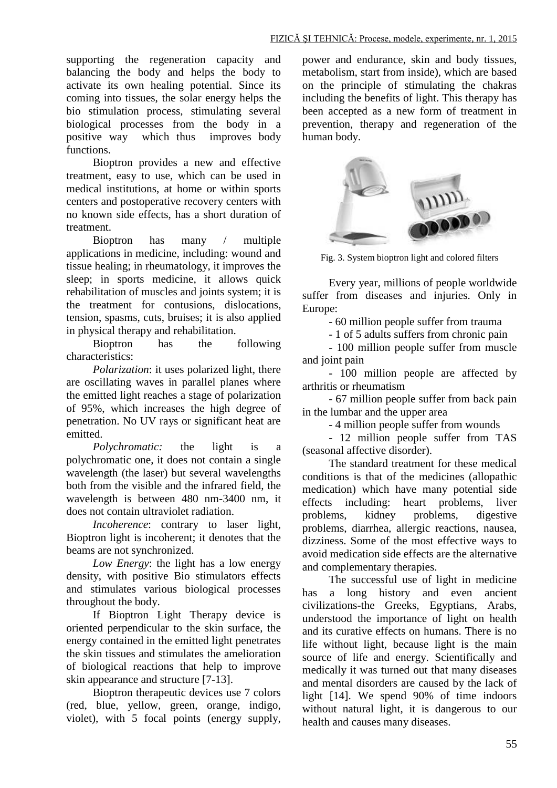supporting the regeneration capacity and balancing the body and helps the body to activate its own healing potential. Since its coming into tissues, the solar energy helps the bio stimulation process, stimulating several biological processes from the body in a positive way which thus improves body functions.

Bioptron provides a new and effective treatment, easy to use, which can be used in medical institutions, at home or within sports centers and postoperative recovery centers with no known side effects, has a short duration of treatment.

Bioptron has many / multiple applications in medicine, including: wound and tissue healing; in rheumatology, it improves the sleep; in sports medicine, it allows quick rehabilitation of muscles and joints system; it is the treatment for contusions, dislocations, tension, spasms, cuts, bruises; it is also applied in physical therapy and rehabilitation.

Bioptron has the following characteristics:

*Polarization*: it uses polarized light, there are oscillating waves in parallel planes where the emitted light reaches a stage of polarization of 95%, which increases the high degree of penetration. No UV rays or significant heat are emitted.

*Polychromatic:* the light is a polychromatic one, it does not contain a single wavelength (the laser) but several wavelengths both from the visible and the infrared field, the wavelength is between 480 nm-3400 nm, it does not contain ultraviolet radiation.

*Incoherence*: contrary to laser light, Bioptron light is incoherent; it denotes that the beams are not synchronized.

*Low Energy*: the light has a low energy density, with positive Bio stimulators effects and stimulates various biological processes throughout the body.

If Bioptron Light Therapy device is oriented perpendicular to the skin surface, the energy contained in the emitted light penetrates the skin tissues and stimulates the amelioration of biological reactions that help to improve skin appearance and structure [7-13].

Bioptron therapeutic devices use 7 colors (red, blue, yellow, green, orange, indigo, violet), with 5 focal points (energy supply,

power and endurance, skin and body tissues, metabolism, start from inside), which are based on the principle of stimulating the chakras including the benefits of light. This therapy has been accepted as a new form of treatment in prevention, therapy and regeneration of the human body.



Fig. 3. System bioptron light and colored filters

Every year, millions of people worldwide suffer from diseases and injuries. Only in Europe:

- 60 million people suffer from trauma

- 1 of 5 adults suffers from chronic pain

- 100 million people suffer from muscle and joint pain

- 100 million people are affected by arthritis or rheumatism

- 67 million people suffer from back pain in the lumbar and the upper area

- 4 million people suffer from wounds

- 12 million people suffer from TAS (seasonal affective disorder).

The standard treatment for these medical conditions is that of the medicines (allopathic medication) which have many potential side effects including: heart problems, liver problems, kidney problems, digestive problems, diarrhea, allergic reactions, nausea, dizziness. Some of the most effective ways to avoid medication side effects are the alternative and complementary therapies.

The successful use of light in medicine has a long history and even ancient civilizations-the Greeks, Egyptians, Arabs, understood the importance of light on health and its curative effects on humans. There is no life without light, because light is the main source of life and energy. Scientifically and medically it was turned out that many diseases and mental disorders are caused by the lack of light [14]. We spend 90% of time indoors without natural light, it is dangerous to our health and causes many diseases.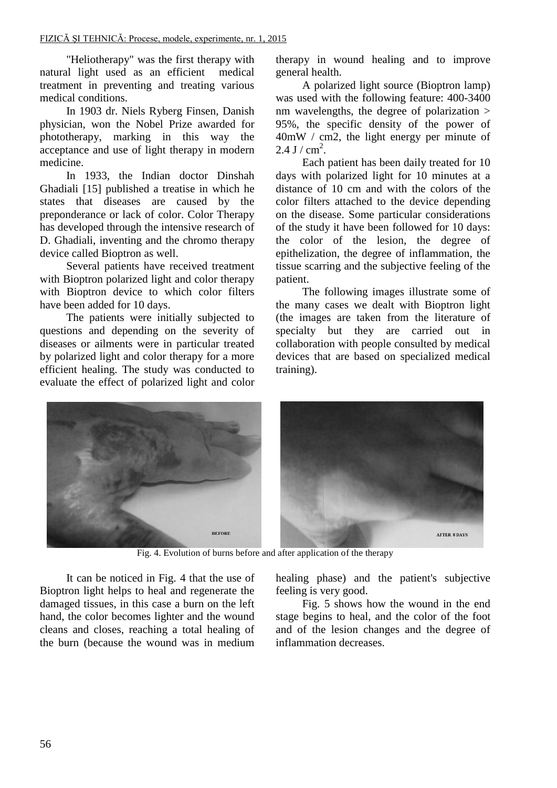"Heliotherapy" was the first therapy with natural light used as an efficient medical treatment in preventing and treating various medical conditions.

In 1903 dr. Niels Ryberg Finsen, Danish physician, won the Nobel Prize awarded for phototherapy, marking in this way the acceptance and use of light therapy in modern medicine.

In 1933, the Indian doctor Dinshah Ghadiali [15] published a treatise in which he states that diseases are caused by the preponderance or lack of color. Color Therapy has developed through the intensive research of D. Ghadiali, inventing and the chromo therapy device called Bioptron as well.

Several patients have received treatment with Bioptron polarized light and color therapy with Bioptron device to which color filters have been added for 10 days.

The patients were initially subjected to questions and depending on the severity of diseases or ailments were in particular treated by polarized light and color therapy for a more efficient healing. The study was conducted to evaluate the effect of polarized light and color

therapy in wound healing and to improve general health.

A polarized light source (Bioptron lamp) was used with the following feature: 400-3400 nm wavelengths, the degree of polarization > 95%, the specific density of the power of 40mW / cm2, the light energy per minute of  $2.4$  J /  $cm<sup>2</sup>$ .

Each patient has been daily treated for 10 days with polarized light for 10 minutes at a distance of 10 cm and with the colors of the color filters attached to the device depending on the disease. Some particular considerations of the study it have been followed for 10 days: the color of the lesion, the degree of epithelization, the degree of inflammation, the tissue scarring and the subjective feeling of the patient.

The following images illustrate some of the many cases we dealt with Bioptron light (the images are taken from the literature of specialty but they are carried out in collaboration with people consulted by medical devices that are based on specialized medical training).



Fig. 4. Evolution of burns before and after application of the therapy

It can be noticed in Fig. 4 that the use of Bioptron light helps to heal and regenerate the damaged tissues, in this case a burn on the left hand, the color becomes lighter and the wound cleans and closes, reaching a total healing of the burn (because the wound was in medium

healing phase) and the patient's subjective feeling is very good.

Fig. 5 shows how the wound in the end stage begins to heal, and the color of the foot and of the lesion changes and the degree of inflammation decreases.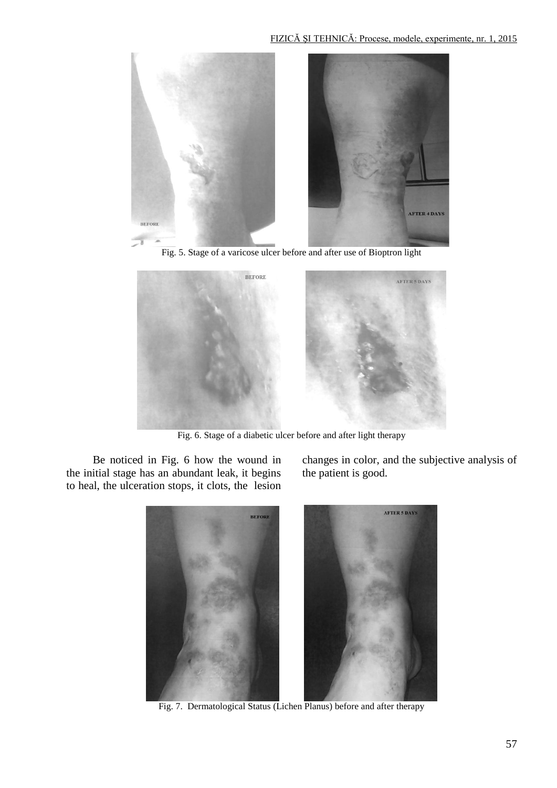

Fig. 5. Stage of a varicose ulcer before and after use of Bioptron light



Fig. 6. Stage of a diabetic ulcer before and after light therapy

Be noticed in Fig. 6 how the wound in the initial stage has an abundant leak, it begins to heal, the ulceration stops, it clots, the lesion

changes in color, and the subjective analysis of the patient is good.



Fig. 7. Dermatological Status (Lichen Planus) before and after therapy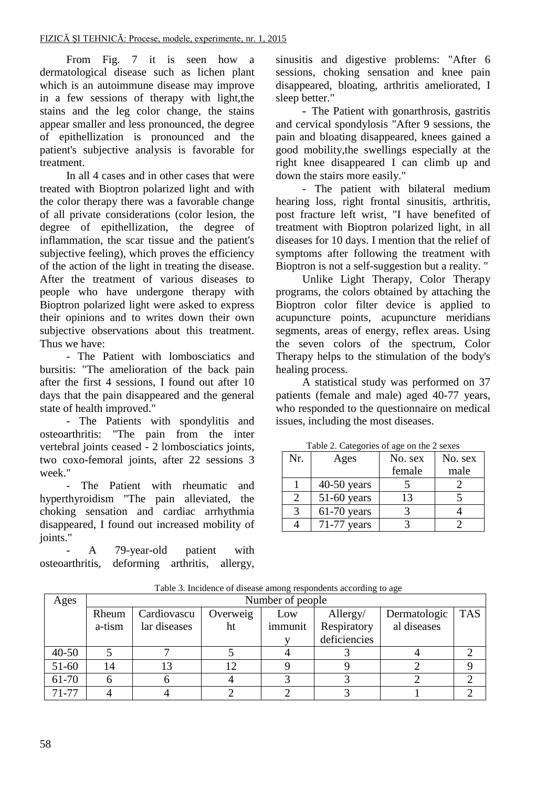From Fig. 7 it is seen how a dermatological disease such as lichen plant which is an autoimmune disease may improve in a few sessions of therapy with light,the stains and the leg color change, the stains appear smaller and less pronounced, the degree of epithellization is pronounced and the patient's subjective analysis is favorable for treatment.

In all 4 cases and in other cases that were treated with Bioptron polarized light and with the color therapy there was a favorable change of all private considerations (color lesion, the degree of epithellization, the degree of inflammation, the scar tissue and the patient's subjective feeling), which proves the efficiency of the action of the light in treating the disease. After the treatment of various diseases to people who have undergone therapy with Bioptron polarized light were asked to express their opinions and to writes down their own subjective observations about this treatment. Thus we have:

- The Patient with lombosciatics and bursitis: "The amelioration of the back pain after the first 4 sessions, I found out after 10 days that the pain disappeared and the general state of health improved."

- The Patients with spondylitis and osteoarthritis: "The pain from the inter vertebral joints ceased - 2 lombosciatics joints, two coxo-femoral joints, after 22 sessions 3 week."

- The Patient with rheumatic and hyperthyroidism "The pain alleviated, the choking sensation and cardiac arrhythmia disappeared, I found out increased mobility of joints."

A 79-year-old patient with osteoarthritis, deforming arthritis, allergy,

sinusitis and digestive problems: "After 6 sessions, choking sensation and knee pain disappeared, bloating, arthritis ameliorated, I sleep better."

**-** The Patient with gonarthrosis, gastritis and cervical spondylosis "After 9 sessions, the pain and bloating disappeared, knees gained a good mobility,the swellings especially at the right knee disappeared I can climb up and down the stairs more easily."

- The patient with bilateral medium hearing loss, right frontal sinusitis, arthritis, post fracture left wrist, "I have benefited of treatment with Bioptron polarized light, in all diseases for 10 days. I mention that the relief of symptoms after following the treatment with Bioptron is not a self-suggestion but a reality. "

Unlike Light Therapy, Color Therapy programs, the colors obtained by attaching the Bioptron color filter device is applied to acupuncture points, acupuncture meridians segments, areas of energy, reflex areas. Using the seven colors of the spectrum, Color Therapy helps to the stimulation of the body's healing process.

A statistical study was performed on 37 patients (female and male) aged 40-77 years, who responded to the questionnaire on medical issues, including the most diseases.

| Nr. | Ages          | No. sex | No. sex |
|-----|---------------|---------|---------|
|     |               | female  | male    |
|     | $40-50$ years |         |         |
| っ   | $51-60$ years | 13      |         |
|     | $61-70$ years |         |         |
|     | $71-77$ years |         |         |

Table 2. Categories of age on the 2 sexes

| Ages      | Number of people |              |          |         |              |              |            |
|-----------|------------------|--------------|----------|---------|--------------|--------------|------------|
|           | Rheum            | Cardiovascu  | Overweig | Low     | Allergy/     | Dermatologic | <b>TAS</b> |
|           | a-tism           | lar diseases | ht       | immunit | Respiratory  | al diseases  |            |
|           |                  |              |          |         | deficiencies |              |            |
| $40 - 50$ |                  |              |          |         |              |              |            |
| $51-60$   | 14               | 13           | 12       |         |              |              |            |
| 61-70     |                  |              |          |         |              |              |            |
| $71 - 77$ |                  |              |          |         |              |              |            |

Table 3. Incidence of disease among respondents according to age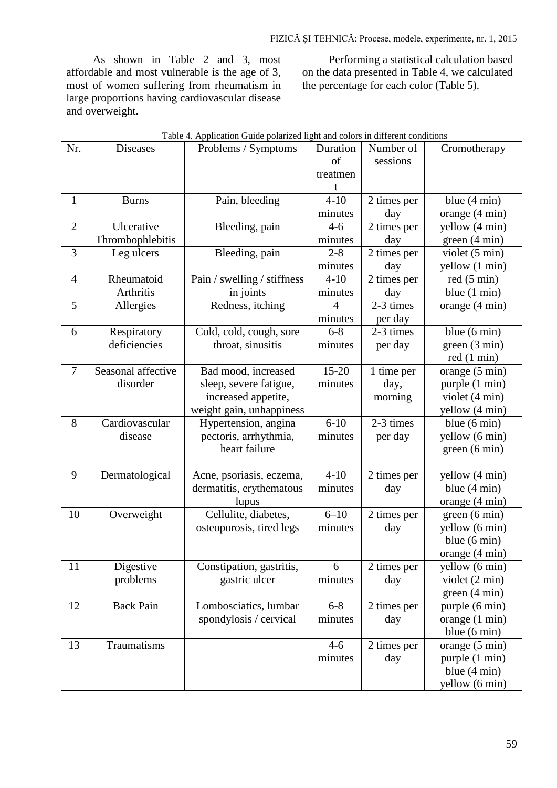As shown in Table 2 and 3, most affordable and most vulnerable is the age of 3, most of women suffering from rheumatism in large proportions having cardiovascular disease and overweight.

Performing a statistical calculation based on the data presented in Table 4, we calculated the percentage for each color (Table 5).

| Nr.            | <b>Diseases</b>    | Problems / Symptoms         | Duration       | Number of                | Cromotherapy           |
|----------------|--------------------|-----------------------------|----------------|--------------------------|------------------------|
|                |                    |                             | of             | sessions                 |                        |
|                |                    |                             | treatmen       |                          |                        |
|                |                    |                             | t              |                          |                        |
| $\mathbf{1}$   | <b>Burns</b>       | Pain, bleeding              | $4 - 10$       | 2 times per              | blue $(4 \text{ min})$ |
|                |                    |                             | minutes        | day                      | orange (4 min)         |
| $\overline{2}$ | Ulcerative         | Bleeding, pain              | $4 - 6$        | $\overline{2}$ times per | yellow (4 min)         |
|                | Thrombophlebitis   |                             | minutes        | day                      | green(4 min)           |
| 3              | Leg ulcers         | Bleeding, pain              | $2 - 8$        | 2 times per              | violet (5 min)         |
|                |                    |                             | minutes        | day                      | yellow (1 min)         |
| $\overline{4}$ | Rheumatoid         | Pain / swelling / stiffness | $4 - 10$       | 2 times per              | red(5 min)             |
|                | Arthritis          | in joints                   | minutes        | day                      | blue $(1 \text{ min})$ |
| 5              | Allergies          | Redness, itching            | $\overline{4}$ | 2-3 times                | orange (4 min)         |
|                |                    |                             | minutes        | per day                  |                        |
| 6              | Respiratory        | Cold, cold, cough, sore     | $6 - 8$        | 2-3 times                | blue (6 min)           |
|                | deficiencies       | throat, sinusitis           | minutes        | per day                  | green(3 min)           |
|                |                    |                             |                |                          | red(1 min)             |
| $\overline{7}$ | Seasonal affective | Bad mood, increased         | $15 - 20$      | 1 time per               | orange (5 min)         |
|                | disorder           | sleep, severe fatigue,      | minutes        | day,                     | purple (1 min)         |
|                |                    | increased appetite,         |                | morning                  | violet (4 min)         |
|                |                    | weight gain, unhappiness    |                |                          | yellow (4 min)         |
| 8              | Cardiovascular     | Hypertension, angina        | $6 - 10$       | 2-3 times                | blue $(6 \text{ min})$ |
|                | disease            | pectoris, arrhythmia,       | minutes        | per day                  | yellow (6 min)         |
|                |                    | heart failure               |                |                          | green (6 min)          |
|                |                    |                             |                |                          |                        |
| 9              | Dermatological     | Acne, psoriasis, eczema,    | $4 - 10$       | 2 times per              | yellow (4 min)         |
|                |                    | dermatitis, erythematous    | minutes        | day                      | blue $(4 \text{ min})$ |
|                |                    | lupus                       |                |                          | orange (4 min)         |
| 10             | Overweight         | Cellulite, diabetes,        | $6 - 10$       | 2 times per              | green(6 min)           |
|                |                    | osteoporosis, tired legs    | minutes        | day                      | yellow (6 min)         |
|                |                    |                             |                |                          | blue $(6 \text{ min})$ |
|                |                    |                             |                |                          | orange (4 min)         |
| 11             | Digestive          | Constipation, gastritis,    | 6              | 2 times per              | yellow (6 min)         |
|                | problems           | gastric ulcer               | minutes        | day                      | violet (2 min)         |
|                |                    |                             |                |                          | green(4 min)           |
| 12             | <b>Back Pain</b>   | Lombosciatics, lumbar       | $6 - 8$        | 2 times per              | purple (6 min)         |
|                |                    | spondylosis / cervical      | minutes        | day                      | orange (1 min)         |
|                |                    |                             |                |                          | blue $(6 \text{ min})$ |
| 13             | Traumatisms        |                             | $4 - 6$        | 2 times per              | orange (5 min)         |
|                |                    |                             | minutes        | day                      | purple (1 min)         |
|                |                    |                             |                |                          | blue $(4 \text{ min})$ |
|                |                    |                             |                |                          | yellow (6 min)         |

|  |  | Table 4. Application Guide polarized light and colors in different conditions |
|--|--|-------------------------------------------------------------------------------|
|--|--|-------------------------------------------------------------------------------|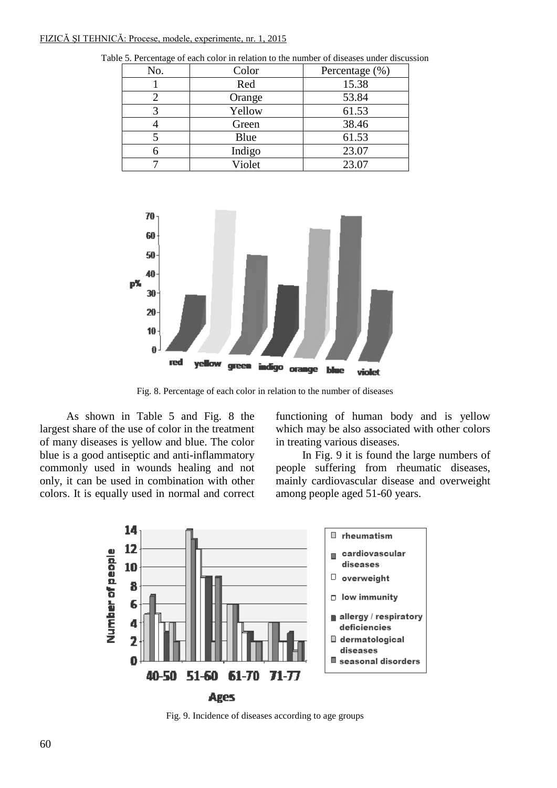### FIZICĂ ŞI TEHNICĂ: Procese, modele, experimente, nr. 1, 2015

| No. | Color  | Percentage (%) |
|-----|--------|----------------|
|     | Red    | 15.38          |
|     | Orange | 53.84          |
|     | Yellow | 61.53          |
|     | Green  | 38.46          |
|     | Blue   | 61.53          |
|     | Indigo | 23.07          |
|     | Violet | 23.07          |

Table 5. Percentage of each color in relation to the number of diseases under discussion



Fig. 8. Percentage of each color in relation to the number of diseases

As shown in Table 5 and Fig. 8 the largest share of the use of color in the treatment of many diseases is yellow and blue. The color blue is a good antiseptic and anti-inflammatory commonly used in wounds healing and not only, it can be used in combination with other colors. It is equally used in normal and correct functioning of human body and is yellow which may be also associated with other colors in treating various diseases.

In Fig. 9 it is found the large numbers of people suffering from rheumatic diseases, mainly cardiovascular disease and overweight among people aged 51-60 years.



Fig. 9. Incidence of diseases according to age groups